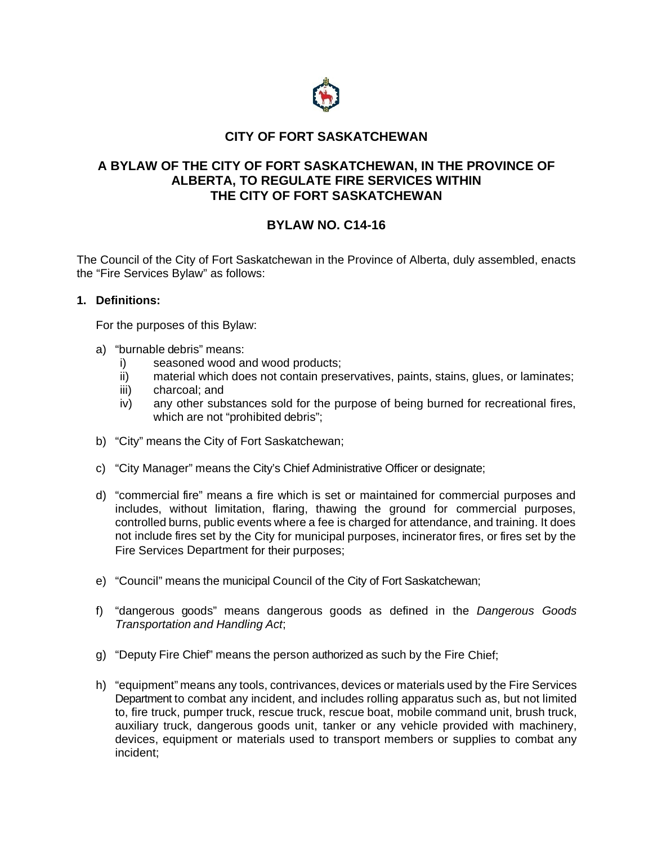

# **CITY OF FORT SASKATCHEWAN**

## **A BYLAW OF THE CITY OF FORT SASKATCHEWAN, IN THE PROVINCE OF ALBERTA, TO REGULATE FIRE SERVICES WITHIN THE CITY OF FORT SASKATCHEWAN**

# **BYLAW NO. C14-16**

The Council of the City of Fort Saskatchewan in the Province of Alberta, duly assembled, enacts the "Fire Services Bylaw" as follows:

## **1. Definitions:**

For the purposes of this Bylaw:

- a) "burnable debris" means:
	- i) seasoned wood and wood products;
	- ii) material which does not contain preservatives, paints, stains, glues, or laminates;
	- iii) charcoal; and
	- iv) any other substances sold for the purpose of being burned for recreational fires, which are not "prohibited debris";
- b) "City" means the City of Fort Saskatchewan;
- c) "City Manager" means the City's Chief Administrative Officer or designate;
- d) "commercial fire" means a fire which is set or maintained for commercial purposes and includes, without limitation, flaring, thawing the ground for commercial purposes, controlled burns, public events where a fee is charged for attendance, and training. It does not include fires set by the City for municipal purposes, incinerator fires, or fires set by the Fire Services Department for their purposes;
- e) "Council" means the municipal Council of the City of Fort Saskatchewan;
- f) "dangerous goods" means dangerous goods as defined in the *Dangerous Goods Transportation and Handling Act*;
- g) "Deputy Fire Chief" means the person authorized as such by the Fire Chief;
- h) "equipment" means any tools, contrivances, devices or materials used by the Fire Services Department to combat any incident, and includes rolling apparatus such as, but not limited to, fire truck, pumper truck, rescue truck, rescue boat, mobile command unit, brush truck, auxiliary truck, dangerous goods unit, tanker or any vehicle provided with machinery, devices, equipment or materials used to transport members or supplies to combat any incident;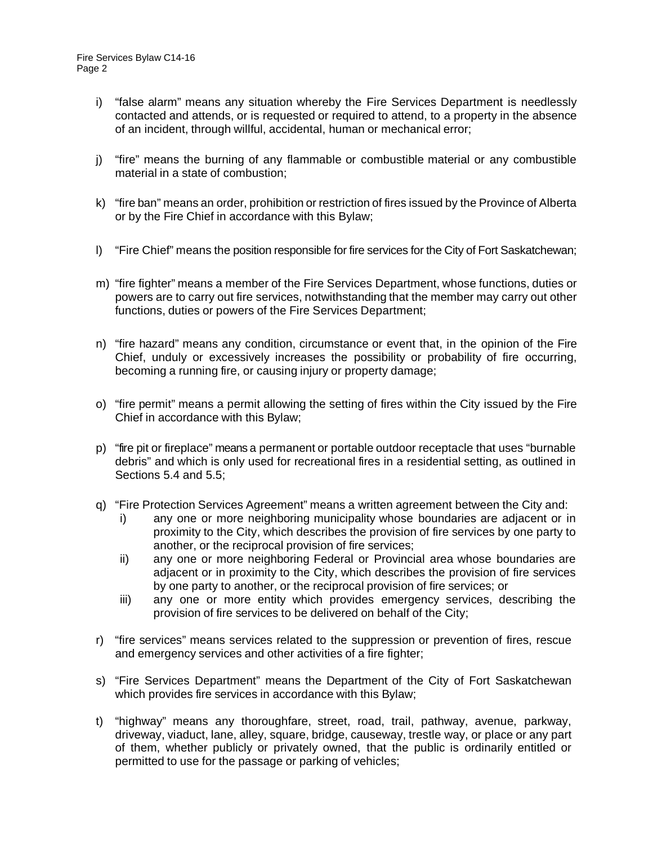- i) "false alarm" means any situation whereby the Fire Services Department is needlessly contacted and attends, or is requested or required to attend, to a property in the absence of an incident, through willful, accidental, human or mechanical error;
- j) "fire" means the burning of any flammable or combustible material or any combustible material in a state of combustion;
- k) "fire ban" means an order, prohibition or restriction of fires issued by the Province of Alberta or by the Fire Chief in accordance with this Bylaw;
- l) "Fire Chief" means the position responsible for fire services for the City of Fort Saskatchewan;
- m) "fire fighter" means a member of the Fire Services Department, whose functions, duties or powers are to carry out fire services, notwithstanding that the member may carry out other functions, duties or powers of the Fire Services Department;
- n) "fire hazard" means any condition, circumstance or event that, in the opinion of the Fire Chief, unduly or excessively increases the possibility or probability of fire occurring, becoming a running fire, or causing injury or property damage;
- o) "fire permit" means a permit allowing the setting of fires within the City issued by the Fire Chief in accordance with this Bylaw;
- p) "fire pit or fireplace" means a permanent or portable outdoor receptacle that uses "burnable debris" and which is only used for recreational fires in a residential setting, as outlined in Sections 5.4 and 5.5;
- q) "Fire Protection Services Agreement" means a written agreement between the City and:
	- i) any one or more neighboring municipality whose boundaries are adjacent or in proximity to the City, which describes the provision of fire services by one party to another, or the reciprocal provision of fire services;
	- ii) any one or more neighboring Federal or Provincial area whose boundaries are adjacent or in proximity to the City, which describes the provision of fire services by one party to another, or the reciprocal provision of fire services; or
	- iii) any one or more entity which provides emergency services, describing the provision of fire services to be delivered on behalf of the City;
- r) "fire services" means services related to the suppression or prevention of fires, rescue and emergency services and other activities of a fire fighter;
- s) "Fire Services Department" means the Department of the City of Fort Saskatchewan which provides fire services in accordance with this Bylaw;
- t) "highway" means any thoroughfare, street, road, trail, pathway, avenue, parkway, driveway, viaduct, lane, alley, square, bridge, causeway, trestle way, or place or any part of them, whether publicly or privately owned, that the public is ordinarily entitled or permitted to use for the passage or parking of vehicles;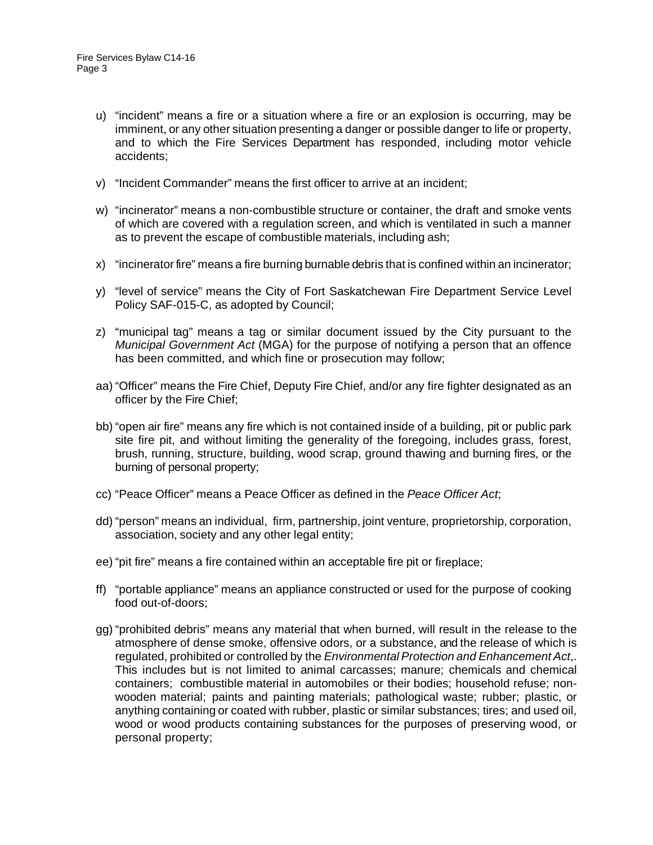- u) "incident" means a fire or a situation where a fire or an explosion is occurring, may be imminent, or any other situation presenting a danger or possible danger to life or property, and to which the Fire Services Department has responded, including motor vehicle accidents;
- v) "Incident Commander" means the first officer to arrive at an incident;
- w) "incinerator" means a non-combustible structure or container, the draft and smoke vents of which are covered with a regulation screen, and which is ventilated in such a manner as to prevent the escape of combustible materials, including ash;
- x) "incinerator fire" means a fire burning burnable debris that is confined within an incinerator;
- y) "level of service" means the City of Fort Saskatchewan Fire Department Service Level Policy SAF-015-C, as adopted by Council;
- z) "municipal tag" means a tag or similar document issued by the City pursuant to the *Municipal Government Act* (MGA) for the purpose of notifying a person that an offence has been committed, and which fine or prosecution may follow;
- aa) "Officer" means the Fire Chief, Deputy Fire Chief, and/or any fire fighter designated as an officer by the Fire Chief;
- bb) "open air fire" means any fire which is not contained inside of a building, pit or public park site fire pit, and without limiting the generality of the foregoing, includes grass, forest, brush, running, structure, building, wood scrap, ground thawing and burning fires, or the burning of personal property;
- cc) "Peace Officer" means a Peace Officer as defined in the *Peace Officer Act*;
- dd) "person" means an individual, firm, partnership, joint venture, proprietorship, corporation, association, society and any other legal entity;
- ee) "pit fire" means a fire contained within an acceptable fire pit or fireplace;
- ff) "portable appliance" means an appliance constructed or used for the purpose of cooking food out-of-doors;
- gg) "prohibited debris" means any material that when burned, will result in the release to the atmosphere of dense smoke, offensive odors, or a substance, and the release of which is regulated, prohibited or controlled by the *Environmental Protection and Enhancement Act*,. This includes but is not limited to animal carcasses; manure; chemicals and chemical containers; combustible material in automobiles or their bodies; household refuse; nonwooden material; paints and painting materials; pathological waste; rubber; plastic, or anything containing or coated with rubber, plastic or similar substances; tires; and used oil, wood or wood products containing substances for the purposes of preserving wood, or personal property;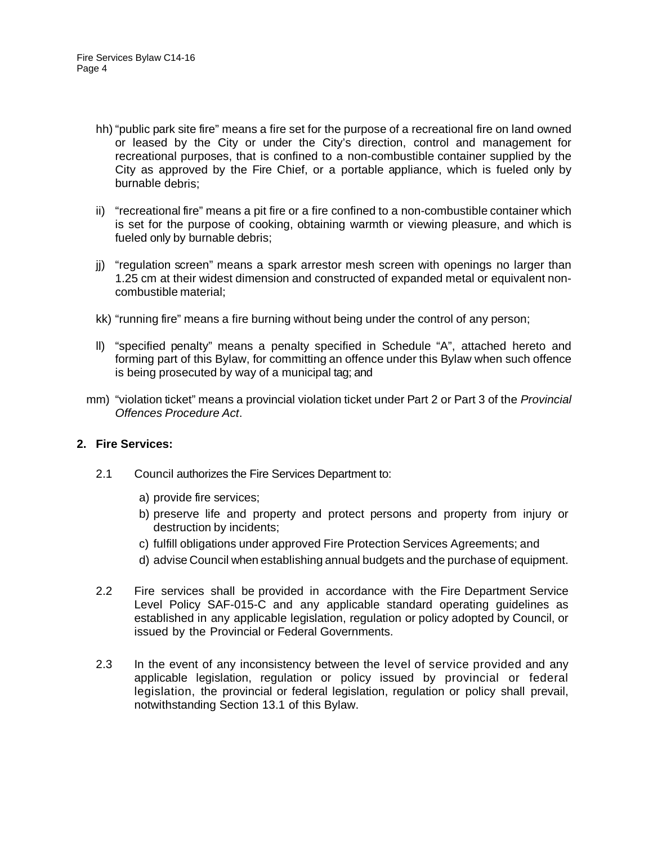- hh) "public park site fire" means a fire set for the purpose of a recreational fire on land owned or leased by the City or under the City's direction, control and management for recreational purposes, that is confined to a non-combustible container supplied by the City as approved by the Fire Chief, or a portable appliance, which is fueled only by burnable debris;
- ii) "recreational fire" means a pit fire or a fire confined to a non-combustible container which is set for the purpose of cooking, obtaining warmth or viewing pleasure, and which is fueled only by burnable debris;
- jj) "regulation screen" means a spark arrestor mesh screen with openings no larger than 1.25 cm at their widest dimension and constructed of expanded metal or equivalent noncombustible material;
- kk) "running fire" means a fire burning without being under the control of any person;
- ll) "specified penalty" means a penalty specified in Schedule "A", attached hereto and forming part of this Bylaw, for committing an offence under this Bylaw when such offence is being prosecuted by way of a municipal tag; and
- mm) "violation ticket" means a provincial violation ticket under Part 2 or Part 3 of the *Provincial Offences Procedure Act*.

#### **2. Fire Services:**

- 2.1 Council authorizes the Fire Services Department to:
	- a) provide fire services;
	- b) preserve life and property and protect persons and property from injury or destruction by incidents;
	- c) fulfill obligations under approved Fire Protection Services Agreements; and
	- d) advise Council when establishing annual budgets and the purchase of equipment.
- 2.2 Fire services shall be provided in accordance with the Fire Department Service Level Policy SAF-015-C and any applicable standard operating guidelines as established in any applicable legislation, regulation or policy adopted by Council, or issued by the Provincial or Federal Governments.
- 2.3 In the event of any inconsistency between the level of service provided and any applicable legislation, regulation or policy issued by provincial or federal legislation, the provincial or federal legislation, regulation or policy shall prevail, notwithstanding Section 13.1 of this Bylaw.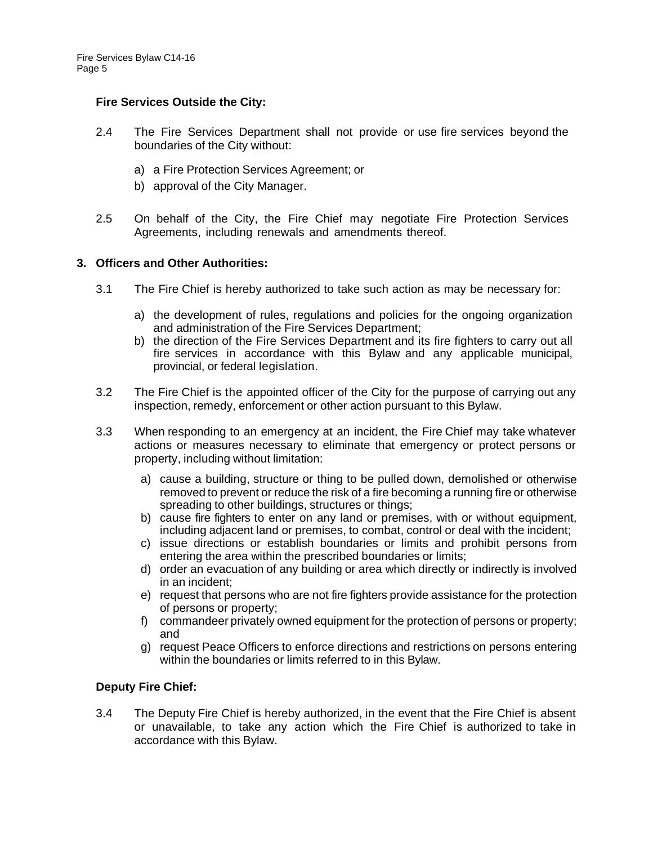## **Fire Services Outside the City:**

- 2.4 The Fire Services Department shall not provide or use fire services beyond the boundaries of the City without:
	- a) a Fire Protection Services Agreement; or
	- b) approval of the City Manager.
- 2.5 On behalf of the City, the Fire Chief may negotiate Fire Protection Services Agreements, including renewals and amendments thereof.

## **3. Officers and Other Authorities:**

- 3.1 The Fire Chief is hereby authorized to take such action as may be necessary for:
	- a) the development of rules, regulations and policies for the ongoing organization and administration of the Fire Services Department;
	- b) the direction of the Fire Services Department and its fire fighters to carry out all fire services in accordance with this Bylaw and any applicable municipal, provincial, or federal legislation.
- 3.2 The Fire Chief is the appointed officer of the City for the purpose of carrying out any inspection, remedy, enforcement or other action pursuant to this Bylaw.
- 3.3 When responding to an emergency at an incident, the Fire Chief may take whatever actions or measures necessary to eliminate that emergency or protect persons or property, including without limitation:
	- a) cause a building, structure or thing to be pulled down, demolished or otherwise removed to prevent or reduce the risk of a fire becoming a running fire or otherwise spreading to other buildings, structures or things;
	- b) cause fire fighters to enter on any land or premises, with or without equipment, including adjacent land or premises, to combat, control or deal with the incident;
	- c) issue directions or establish boundaries or limits and prohibit persons from entering the area within the prescribed boundaries or limits;
	- d) order an evacuation of any building or area which directly or indirectly is involved in an incident;
	- e) request that persons who are not fire fighters provide assistance for the protection of persons or property;
	- f) commandeer privately owned equipment for the protection of persons or property; and
	- g) request Peace Officers to enforce directions and restrictions on persons entering within the boundaries or limits referred to in this Bylaw.

#### **Deputy Fire Chief:**

3.4 The Deputy Fire Chief is hereby authorized, in the event that the Fire Chief is absent or unavailable, to take any action which the Fire Chief is authorized to take in accordance with this Bylaw.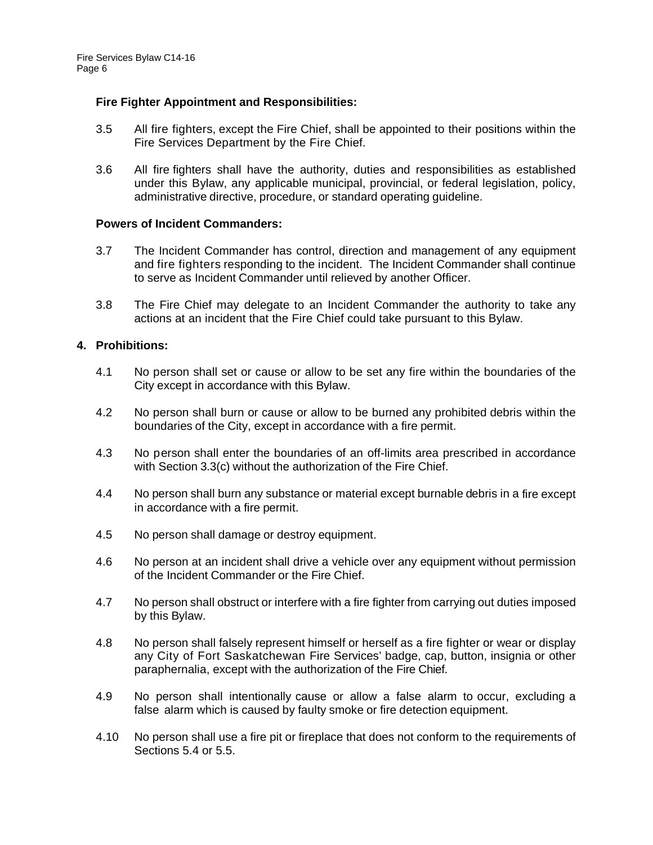## **Fire Fighter Appointment and Responsibilities:**

- 3.5 All fire fighters, except the Fire Chief, shall be appointed to their positions within the Fire Services Department by the Fire Chief.
- 3.6 All fire fighters shall have the authority, duties and responsibilities as established under this Bylaw, any applicable municipal, provincial, or federal legislation, policy, administrative directive, procedure, or standard operating guideline.

#### **Powers of Incident Commanders:**

- 3.7 The Incident Commander has control, direction and management of any equipment and fire fighters responding to the incident. The Incident Commander shall continue to serve as Incident Commander until relieved by another Officer.
- 3.8 The Fire Chief may delegate to an Incident Commander the authority to take any actions at an incident that the Fire Chief could take pursuant to this Bylaw.

## **4. Prohibitions:**

- 4.1 No person shall set or cause or allow to be set any fire within the boundaries of the City except in accordance with this Bylaw.
- 4.2 No person shall burn or cause or allow to be burned any prohibited debris within the boundaries of the City, except in accordance with a fire permit.
- 4.3 No person shall enter the boundaries of an off-limits area prescribed in accordance with Section 3.3(c) without the authorization of the Fire Chief.
- 4.4 No person shall burn any substance or material except burnable debris in a fire except in accordance with a fire permit.
- 4.5 No person shall damage or destroy equipment.
- 4.6 No person at an incident shall drive a vehicle over any equipment without permission of the Incident Commander or the Fire Chief.
- 4.7 No person shall obstruct or interfere with a fire fighter from carrying out duties imposed by this Bylaw.
- 4.8 No person shall falsely represent himself or herself as a fire fighter or wear or display any City of Fort Saskatchewan Fire Services' badge, cap, button, insignia or other paraphernalia, except with the authorization of the Fire Chief.
- 4.9 No person shall intentionally cause or allow a false alarm to occur, excluding a false alarm which is caused by faulty smoke or fire detection equipment.
- 4.10 No person shall use a fire pit or fireplace that does not conform to the requirements of Sections 5.4 or 5.5.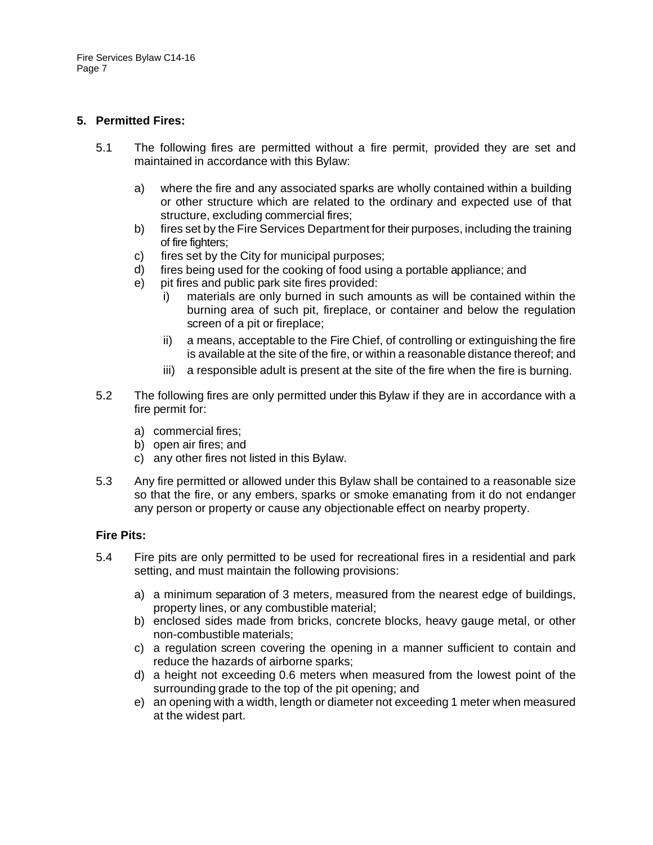## **5. Permitted Fires:**

- 5.1 The following fires are permitted without a fire permit, provided they are set and maintained in accordance with this Bylaw:
	- a) where the fire and any associated sparks are wholly contained within a building or other structure which are related to the ordinary and expected use of that structure, excluding commercial fires;
	- b) fires set by the Fire Services Department for their purposes, including the training of fire fighters;
	- c) fires set by the City for municipal purposes;
	- d) fires being used for the cooking of food using a portable appliance; and
	- e) pit fires and public park site fires provided:
		- i) materials are only burned in such amounts as will be contained within the burning area of such pit, fireplace, or container and below the regulation screen of a pit or fireplace;
		- ii) a means, acceptable to the Fire Chief, of controlling or extinguishing the fire is available at the site of the fire, or within a reasonable distance thereof; and
		- iii) a responsible adult is present at the site of the fire when the fire is burning.
- 5.2 The following fires are only permitted under this Bylaw if they are in accordance with a fire permit for:
	- a) commercial fires;
	- b) open air fires; and
	- c) any other fires not listed in this Bylaw.
- 5.3 Any fire permitted or allowed under this Bylaw shall be contained to a reasonable size so that the fire, or any embers, sparks or smoke emanating from it do not endanger any person or property or cause any objectionable effect on nearby property.

#### **Fire Pits:**

- 5.4 Fire pits are only permitted to be used for recreational fires in a residential and park setting, and must maintain the following provisions:
	- a) a minimum separation of 3 meters, measured from the nearest edge of buildings, property lines, or any combustible material;
	- b) enclosed sides made from bricks, concrete blocks, heavy gauge metal, or other non-combustible materials;
	- c) a regulation screen covering the opening in a manner sufficient to contain and reduce the hazards of airborne sparks;
	- d) a height not exceeding 0.6 meters when measured from the lowest point of the surrounding grade to the top of the pit opening; and
	- e) an opening with a width, length or diameter not exceeding 1 meter when measured at the widest part.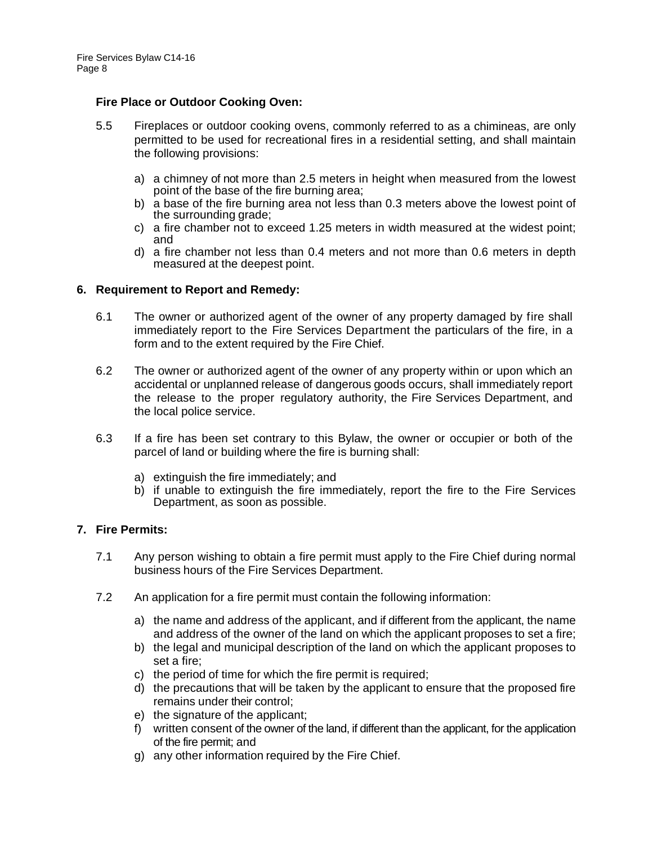#### **Fire Place or Outdoor Cooking Oven:**

- 5.5 Fireplaces or outdoor cooking ovens, commonly referred to as a chimineas, are only permitted to be used for recreational fires in a residential setting, and shall maintain the following provisions:
	- a) a chimney of not more than 2.5 meters in height when measured from the lowest point of the base of the fire burning area;
	- b) a base of the fire burning area not less than 0.3 meters above the lowest point of the surrounding grade;
	- c) a fire chamber not to exceed 1.25 meters in width measured at the widest point; and
	- d) a fire chamber not less than 0.4 meters and not more than 0.6 meters in depth measured at the deepest point.

#### **6. Requirement to Report and Remedy:**

- 6.1 The owner or authorized agent of the owner of any property damaged by fire shall immediately report to the Fire Services Department the particulars of the fire, in a form and to the extent required by the Fire Chief.
- 6.2 The owner or authorized agent of the owner of any property within or upon which an accidental or unplanned release of dangerous goods occurs, shall immediately report the release to the proper regulatory authority, the Fire Services Department, and the local police service.
- 6.3 If a fire has been set contrary to this Bylaw, the owner or occupier or both of the parcel of land or building where the fire is burning shall:
	- a) extinguish the fire immediately; and
	- b) if unable to extinguish the fire immediately, report the fire to the Fire Services Department, as soon as possible.

#### **7. Fire Permits:**

- 7.1 Any person wishing to obtain a fire permit must apply to the Fire Chief during normal business hours of the Fire Services Department.
- 7.2 An application for a fire permit must contain the following information:
	- a) the name and address of the applicant, and if different from the applicant, the name and address of the owner of the land on which the applicant proposes to set a fire;
	- b) the legal and municipal description of the land on which the applicant proposes to set a fire;
	- c) the period of time for which the fire permit is required;
	- d) the precautions that will be taken by the applicant to ensure that the proposed fire remains under their control;
	- e) the signature of the applicant;
	- f) written consent of the owner of the land, if different than the applicant, for the application of the fire permit; and
	- g) any other information required by the Fire Chief.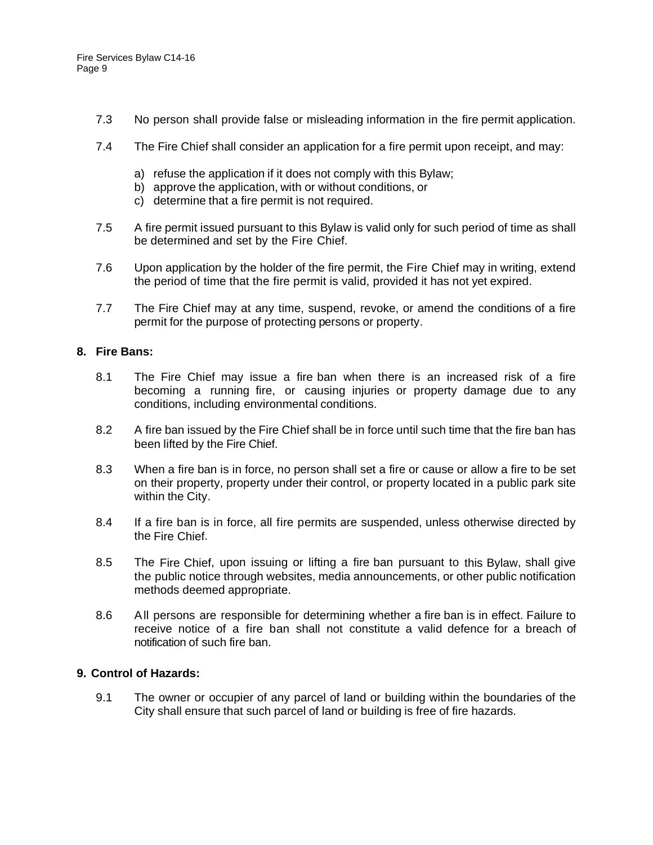- 7.3 No person shall provide false or misleading information in the fire permit application.
- 7.4 The Fire Chief shall consider an application for a fire permit upon receipt, and may:
	- a) refuse the application if it does not comply with this Bylaw;
	- b) approve the application, with or without conditions, or
		- c) determine that a fire permit is not required.
- 7.5 A fire permit issued pursuant to this Bylaw is valid only for such period of time as shall be determined and set by the Fire Chief.
- 7.6 Upon application by the holder of the fire permit, the Fire Chief may in writing, extend the period of time that the fire permit is valid, provided it has not yet expired.
- 7.7 The Fire Chief may at any time, suspend, revoke, or amend the conditions of a fire permit for the purpose of protecting persons or property.

## **8. Fire Bans:**

- 8.1 The Fire Chief may issue a fire ban when there is an increased risk of a fire becoming a running fire, or causing injuries or property damage due to any conditions, including environmental conditions.
- 8.2 A fire ban issued by the Fire Chief shall be in force until such time that the fire ban has been lifted by the Fire Chief.
- 8.3 When a fire ban is in force, no person shall set a fire or cause or allow a fire to be set on their property, property under their control, or property located in a public park site within the City.
- 8.4 If a fire ban is in force, all fire permits are suspended, unless otherwise directed by the Fire Chief.
- 8.5 The Fire Chief, upon issuing or lifting a fire ban pursuant to this Bylaw, shall give the public notice through websites, media announcements, or other public notification methods deemed appropriate.
- 8.6 All persons are responsible for determining whether a fire ban is in effect. Failure to receive notice of a fire ban shall not constitute a valid defence for a breach of notification of such fire ban.

## **9. Control of Hazards:**

9.1 The owner or occupier of any parcel of land or building within the boundaries of the City shall ensure that such parcel of land or building is free of fire hazards.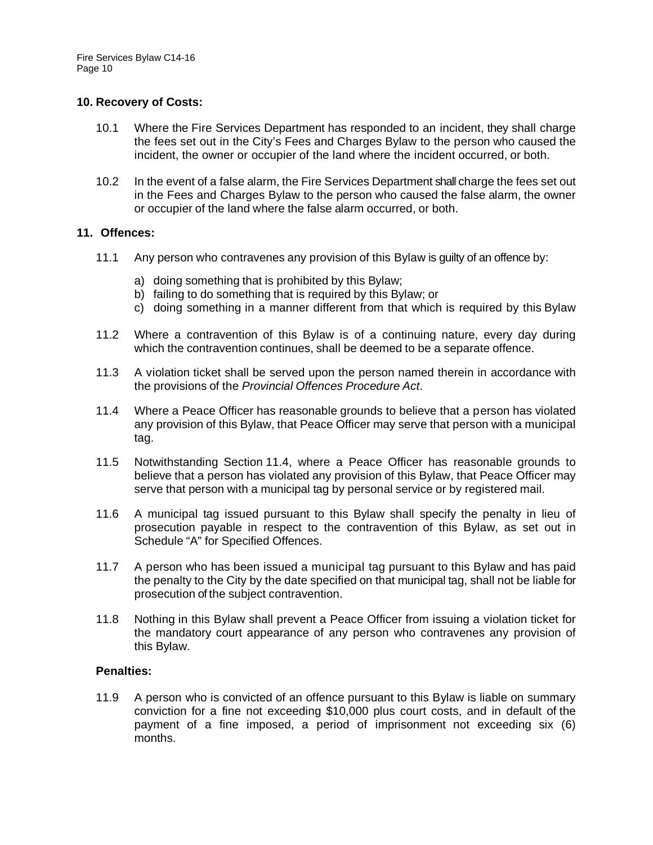## **10. Recovery of Costs:**

- 10.1 Where the Fire Services Department has responded to an incident, they shall charge the fees set out in the City's Fees and Charges Bylaw to the person who caused the incident, the owner or occupier of the land where the incident occurred, or both.
- 10.2 In the event of a false alarm, the Fire Services Department shall charge the fees set out in the Fees and Charges Bylaw to the person who caused the false alarm, the owner or occupier of the land where the false alarm occurred, or both.

## **11. Offences:**

- 11.1 Any person who contravenes any provision of this Bylaw is guilty of an offence by:
	- a) doing something that is prohibited by this Bylaw;
	- b) failing to do something that is required by this Bylaw; or
	- c) doing something in a manner different from that which is required by this Bylaw
- 11.2 Where a contravention of this Bylaw is of a continuing nature, every day during which the contravention continues, shall be deemed to be a separate offence.
- 11.3 A violation ticket shall be served upon the person named therein in accordance with the provisions of the *Provincial Offences Procedure Act*.
- 11.4 Where a Peace Officer has reasonable grounds to believe that a person has violated any provision of this Bylaw, that Peace Officer may serve that person with a municipal tag.
- 11.5 Notwithstanding Section 11.4, where a Peace Officer has reasonable grounds to believe that a person has violated any provision of this Bylaw, that Peace Officer may serve that person with a municipal tag by personal service or by registered mail.
- 11.6 A municipal tag issued pursuant to this Bylaw shall specify the penalty in lieu of prosecution payable in respect to the contravention of this Bylaw, as set out in Schedule "A" for Specified Offences.
- 11.7 A person who has been issued a municipal tag pursuant to this Bylaw and has paid the penalty to the City by the date specified on that municipal tag, shall not be liable for prosecution of the subject contravention.
- 11.8 Nothing in this Bylaw shall prevent a Peace Officer from issuing a violation ticket for the mandatory court appearance of any person who contravenes any provision of this Bylaw.

## **Penalties:**

11.9 A person who is convicted of an offence pursuant to this Bylaw is liable on summary conviction for a fine not exceeding \$10,000 plus court costs, and in default of the payment of a fine imposed, a period of imprisonment not exceeding six (6) months.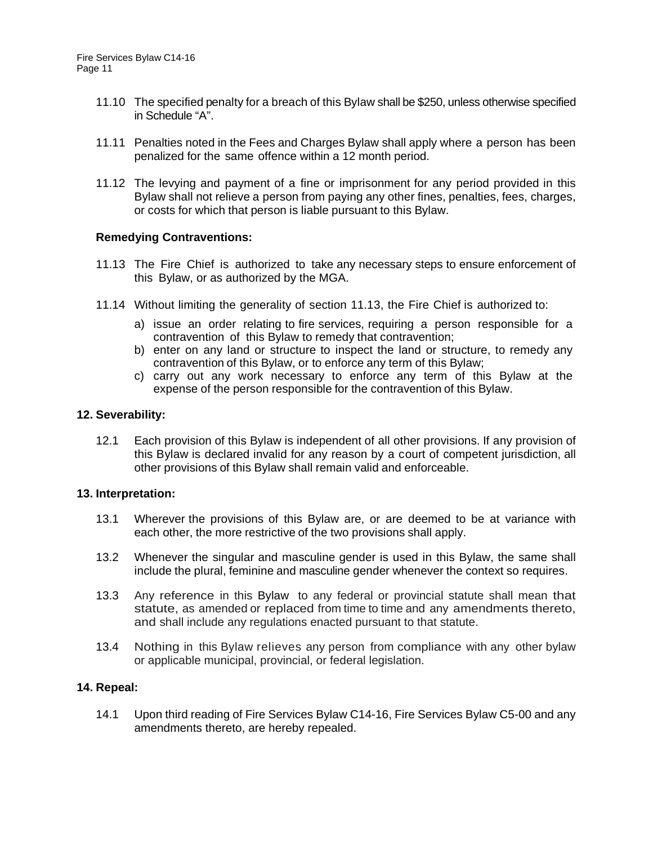- 11.10 The specified penalty for a breach of this Bylaw shall be \$250, unless otherwise specified in Schedule "A".
- 11.11 Penalties noted in the Fees and Charges Bylaw shall apply where a person has been penalized for the same offence within a 12 month period.
- 11.12 The levying and payment of a fine or imprisonment for any period provided in this Bylaw shall not relieve a person from paying any other fines, penalties, fees, charges, or costs for which that person is liable pursuant to this Bylaw.

#### **Remedying Contraventions:**

- 11.13 The Fire Chief is authorized to take any necessary steps to ensure enforcement of this Bylaw, or as authorized by the MGA.
- 11.14 Without limiting the generality of section 11.13, the Fire Chief is authorized to:
	- a) issue an order relating to fire services, requiring a person responsible for a contravention of this Bylaw to remedy that contravention;
	- b) enter on any land or structure to inspect the land or structure, to remedy any contravention of this Bylaw, or to enforce any term of this Bylaw;
	- c) carry out any work necessary to enforce any term of this Bylaw at the expense of the person responsible for the contravention of this Bylaw.

#### **12. Severability:**

12.1 Each provision of this Bylaw is independent of all other provisions. If any provision of this Bylaw is declared invalid for any reason by a court of competent jurisdiction, all other provisions of this Bylaw shall remain valid and enforceable.

#### **13. Interpretation:**

- 13.1 Wherever the provisions of this Bylaw are, or are deemed to be at variance with each other, the more restrictive of the two provisions shall apply.
- 13.2 Whenever the singular and masculine gender is used in this Bylaw, the same shall include the plural, feminine and masculine gender whenever the context so requires.
- 13.3 Any reference in this Bylaw to any federal or provincial statute shall mean that statute, as amended or replaced from time to time and any amendments thereto, and shall include any regulations enacted pursuant to that statute.
- 13.4 Nothing in this Bylaw relieves any person from compliance with any other bylaw or applicable municipal, provincial, or federal legislation.

## **14. Repeal:**

14.1 Upon third reading of Fire Services Bylaw C14-16, Fire Services Bylaw C5-00 and any amendments thereto, are hereby repealed.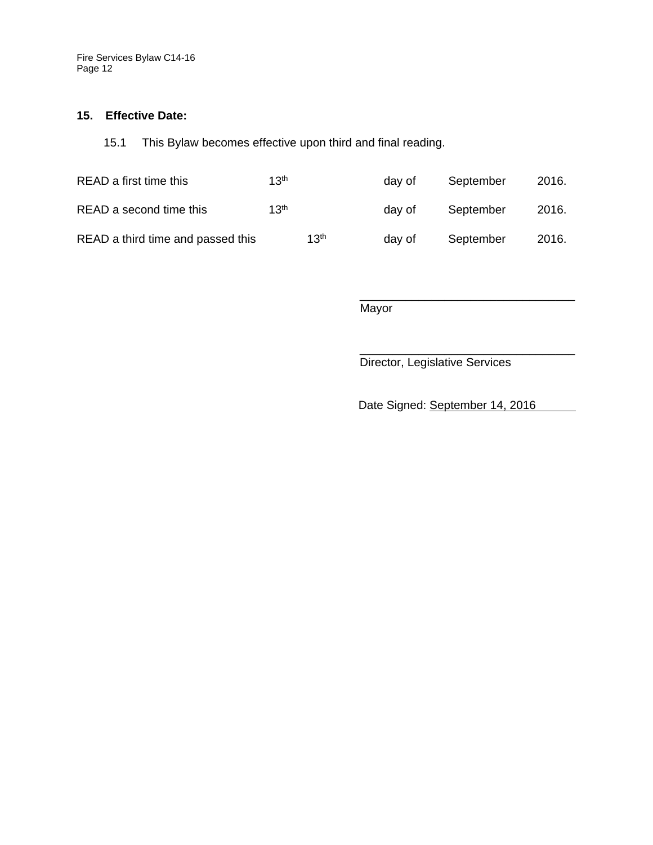Fire Services Bylaw C14-16 Page 12

#### **15. Effective Date:**

15.1 This Bylaw becomes effective upon third and final reading.

| READ a first time this            | 13 <sup>th</sup> |                  | dav of | September | 2016. |
|-----------------------------------|------------------|------------------|--------|-----------|-------|
| READ a second time this           | 13 <sup>th</sup> |                  | dav of | September | 2016. |
| READ a third time and passed this |                  | 13 <sup>th</sup> | day of | September | 2016. |

\_\_\_\_\_\_\_\_\_\_\_\_\_\_\_\_\_\_\_\_\_\_\_\_\_\_\_\_\_\_\_\_\_ **Mayor** 

Director, Legislative Services

Date Signed: September 14, 2016

\_\_\_\_\_\_\_\_\_\_\_\_\_\_\_\_\_\_\_\_\_\_\_\_\_\_\_\_\_\_\_\_\_